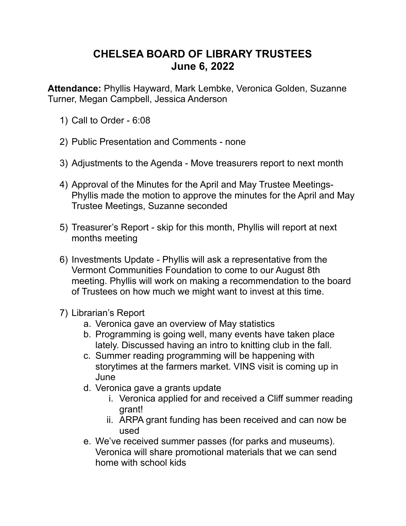## **CHELSEA BOARD OF LIBRARY TRUSTEES June 6, 2022**

**Attendance:** Phyllis Hayward, Mark Lembke, Veronica Golden, Suzanne Turner, Megan Campbell, Jessica Anderson

- 1) Call to Order 6:08
- 2) Public Presentation and Comments none
- 3) Adjustments to the Agenda Move treasurers report to next month
- 4) Approval of the Minutes for the April and May Trustee Meetings-Phyllis made the motion to approve the minutes for the April and May Trustee Meetings, Suzanne seconded
- 5) Treasurer's Report skip for this month, Phyllis will report at next months meeting
- 6) Investments Update Phyllis will ask a representative from the Vermont Communities Foundation to come to our August 8th meeting. Phyllis will work on making a recommendation to the board of Trustees on how much we might want to invest at this time.
- 7) Librarian's Report
	- a. Veronica gave an overview of May statistics
	- b. Programming is going well, many events have taken place lately. Discussed having an intro to knitting club in the fall.
	- c. Summer reading programming will be happening with storytimes at the farmers market. VINS visit is coming up in June
	- d. Veronica gave a grants update
		- i. Veronica applied for and received a Cliff summer reading grant!
		- ii. ARPA grant funding has been received and can now be used
	- e. We've received summer passes (for parks and museums). Veronica will share promotional materials that we can send home with school kids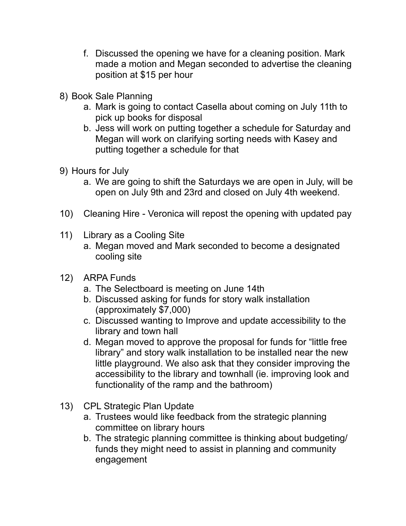- f. Discussed the opening we have for a cleaning position. Mark made a motion and Megan seconded to advertise the cleaning position at \$15 per hour
- 8) Book Sale Planning
	- a. Mark is going to contact Casella about coming on July 11th to pick up books for disposal
	- b. Jess will work on putting together a schedule for Saturday and Megan will work on clarifying sorting needs with Kasey and putting together a schedule for that
- 9) Hours for July
	- a. We are going to shift the Saturdays we are open in July, will be open on July 9th and 23rd and closed on July 4th weekend.
- 10) Cleaning Hire Veronica will repost the opening with updated pay
- 11) Library as a Cooling Site
	- a. Megan moved and Mark seconded to become a designated cooling site
- 12) ARPA Funds
	- a. The Selectboard is meeting on June 14th
	- b. Discussed asking for funds for story walk installation (approximately \$7,000)
	- c. Discussed wanting to Improve and update accessibility to the library and town hall
	- d. Megan moved to approve the proposal for funds for "little free library" and story walk installation to be installed near the new little playground. We also ask that they consider improving the accessibility to the library and townhall (ie. improving look and functionality of the ramp and the bathroom)
- 13) CPL Strategic Plan Update
	- a. Trustees would like feedback from the strategic planning committee on library hours
	- b. The strategic planning committee is thinking about budgeting/ funds they might need to assist in planning and community engagement